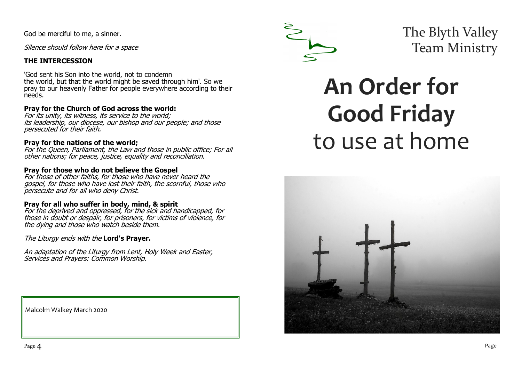God be merciful to me, a sinner.

Silence should follow here for a space

### **THE INTERCESSION**

'God sent his Son into the world, not to condemn the world, but that the world might be saved through him'. So we pray to our heavenly Father for people everywhere according to their needs.

#### **Pray for the Church of God across the world:**

For its unity, its witness, its service to the world; its leadership, our diocese, our bishop and our people; and those persecuted for their faith.

#### **Pray for the nations of the world;**

For the Queen, Parliament, the Law and those in public office; For all other nations; for peace, justice, equality and reconciliation.

#### **Pray for those who do not believe the Gospel**

For those of other faiths, for those who have never heard the gospel, for those who have lost their faith, the scornful, those who persecute and for all who deny Christ.

#### **Pray for all who suffer in body, mind, & spirit**

For the deprived and oppressed, for the sick and handicapped, for those in doubt or despair, for prisoners, for victims of violence, for the dying and those who watch beside them.

The Liturgy ends with the **Lord's Prayer.**

An adaptation of the Liturgy from Lent, Holy Week and Easter, Services and Prayers: Common Worship.

Malcolm Walkey March 2020



The Blyth Valley Team Ministry

# **An Order for Good Friday**  to use at home